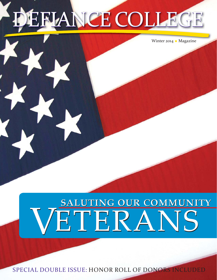# EFLANCE COLLEC

Winter 2014 ◆ Magazine

## VETERANS SALUTING OUR COMMUNITY

SPECIAL DOUBLE ISSUE: HONOR ROLL OF DONORS INCLUDED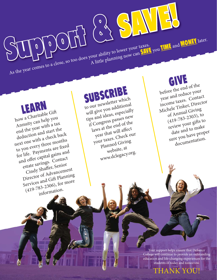As the year comes to a close, so too does your ability to lower your taxes. As the year comes to a close, so too does your ability to lower your taxes.<br>As the year comes to a close, so too does your ability to lower your can SAVE you TIME and MONEY later.

before the end of the year and reduce your income taxes. Contact Michele Tinker, Director of Annual Giving  $(419-783-2303),$  to review your gifts to date and to make sure you have proper documentation.

## SUBSCRIBE

SUPPORT & SAVE you IME and

to our newsletter which will give you additional tips and ideas, especially if Congress passes new laws at the end of the year that will affect your taxes. Check our Planned Giving website, at www.dclegacy.org.

how a Charitable Gift Annuity can help you end the year with a tax deduction and start the next one with a check back to you every three months for life. Payments are fixed and offer capital gains and estate savings. Contact Cindy Shaffer, Senior Director of Advancement Services and Gift Planning (419-783-2306), for more information.

> Your support helps ensure that Defiance College will continue to provide an outstanding education and life-changing experiences for the students of today and tomorrow.